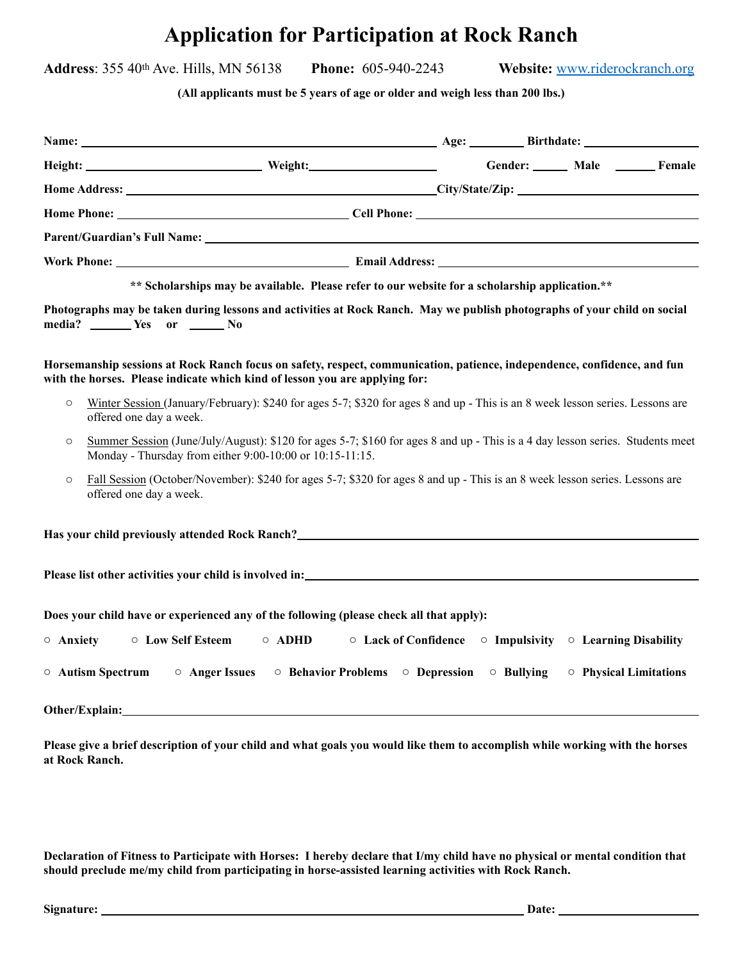# **Application for Participation at Rock Ranch**

**Address**: 355 40th Ave. Hills, MN 56138 **Phone:** 605-940-2243 **Website:** [www.riderockranch.org](http://www.riderockranch.org)

**(All applicants must be 5 years of age or older and weigh less than 200 lbs.)** 

| Height: Male Meight: Meight: Weight: Gender: Male Male Female                                                                                                                                                                          |                        |  |
|----------------------------------------------------------------------------------------------------------------------------------------------------------------------------------------------------------------------------------------|------------------------|--|
|                                                                                                                                                                                                                                        |                        |  |
|                                                                                                                                                                                                                                        |                        |  |
|                                                                                                                                                                                                                                        |                        |  |
|                                                                                                                                                                                                                                        |                        |  |
| ** Scholarships may be available. Please refer to our website for a scholarship application.**                                                                                                                                         |                        |  |
| Photographs may be taken during lessons and activities at Rock Ranch. May we publish photographs of your child on social<br>media? ________ Yes or _______ No                                                                          |                        |  |
| Horsemanship sessions at Rock Ranch focus on safety, respect, communication, patience, independence, confidence, and fun<br>with the horses. Please indicate which kind of lesson you are applying for:                                |                        |  |
| Winter Session (January/February): \$240 for ages 5-7; \$320 for ages 8 and up - This is an 8 week lesson series. Lessons are<br>$\circ$<br>offered one day a week.                                                                    |                        |  |
| Summer Session (June/July/August): \$120 for ages 5-7; \$160 for ages 8 and up - This is a 4 day lesson series. Students meet<br>$\circ$<br>Monday - Thursday from either 9:00-10:00 or 10:15-11:15.                                   |                        |  |
| Fall Session (October/November): \$240 for ages 5-7; \$320 for ages 8 and up - This is an 8 week lesson series. Lessons are<br>$\circ$<br>offered one day a week.                                                                      |                        |  |
| Has your child previously attended Rock Ranch?<br><u>Lastendalens and the contract of the contract of the contract of the contract of the contract of the contract of the contract of the contract of the contract of the contract</u> |                        |  |
|                                                                                                                                                                                                                                        |                        |  |
| Does your child have or experienced any of the following (please check all that apply):                                                                                                                                                |                        |  |
| ○ Low Self Esteem<br>$\circ$ Anxiety                                                                                                                                                                                                   |                        |  |
| $\circ$ Autism Spectrum<br>○ Anger Issues<br>$\circ$ Behavior Problems $\circ$ Depression $\circ$ Bullying                                                                                                                             | ○ Physical Limitations |  |
| Other/Explain: No. 2016. The Contract of the Contract of the Contract of the Contract of the Contract of the Contract of the Contract of the Contract of the Contract of the Contract of the Contract of the Contract of the C         |                        |  |

**Please give a brief description of your child and what goals you would like them to accomplish while working with the horses at Rock Ranch.** 

**Declaration of Fitness to Participate with Horses: I hereby declare that I/my child have no physical or mental condition that should preclude me/my child from participating in horse-assisted learning activities with Rock Ranch.**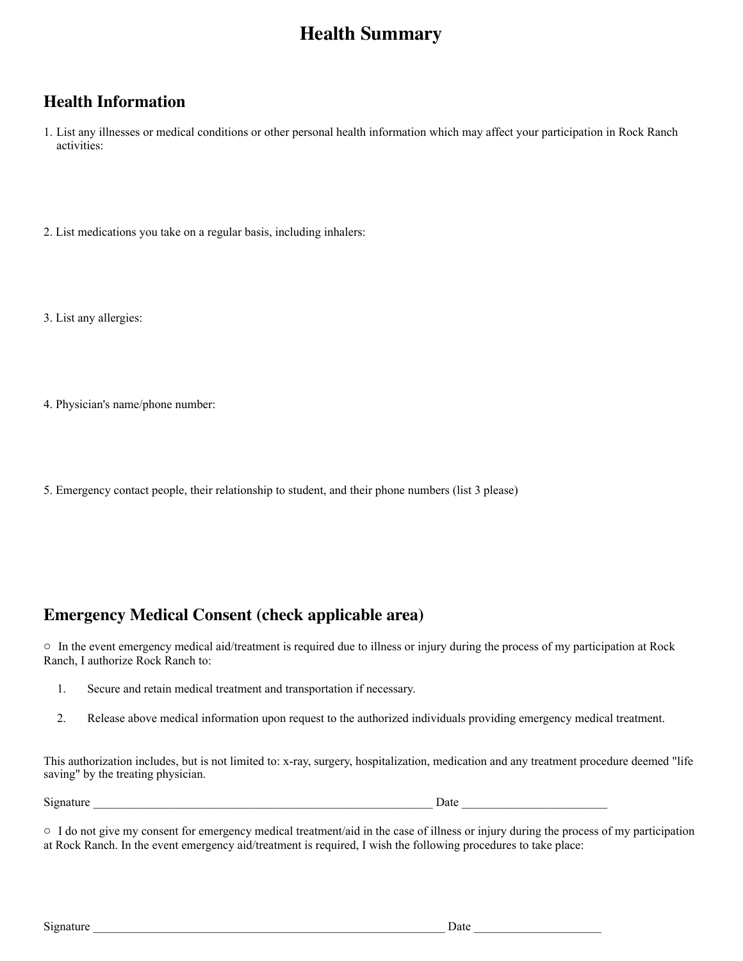## **Health Summary**

## **Health Information**

1. List any illnesses or medical conditions or other personal health information which may affect your participation in Rock Ranch activities:

2. List medications you take on a regular basis, including inhalers:

3. List any allergies:

4. Physician's name/phone number:

5. Emergency contact people, their relationship to student, and their phone numbers (list 3 please)

### **Emergency Medical Consent (check applicable area)**

o In the event emergency medical aid/treatment is required due to illness or injury during the process of my participation at Rock Ranch, I authorize Rock Ranch to:

- 1. Secure and retain medical treatment and transportation if necessary.
- 2. Release above medical information upon request to the authorized individuals providing emergency medical treatment.

This authorization includes, but is not limited to: x-ray, surgery, hospitalization, medication and any treatment procedure deemed "life saving" by the treating physician.

Signature

| Date |  |
|------|--|
|      |  |

 $\circ$  I do not give my consent for emergency medical treatment/aid in the case of illness or injury during the process of my participation at Rock Ranch. In the event emergency aid/treatment is required, I wish the following procedures to take place: